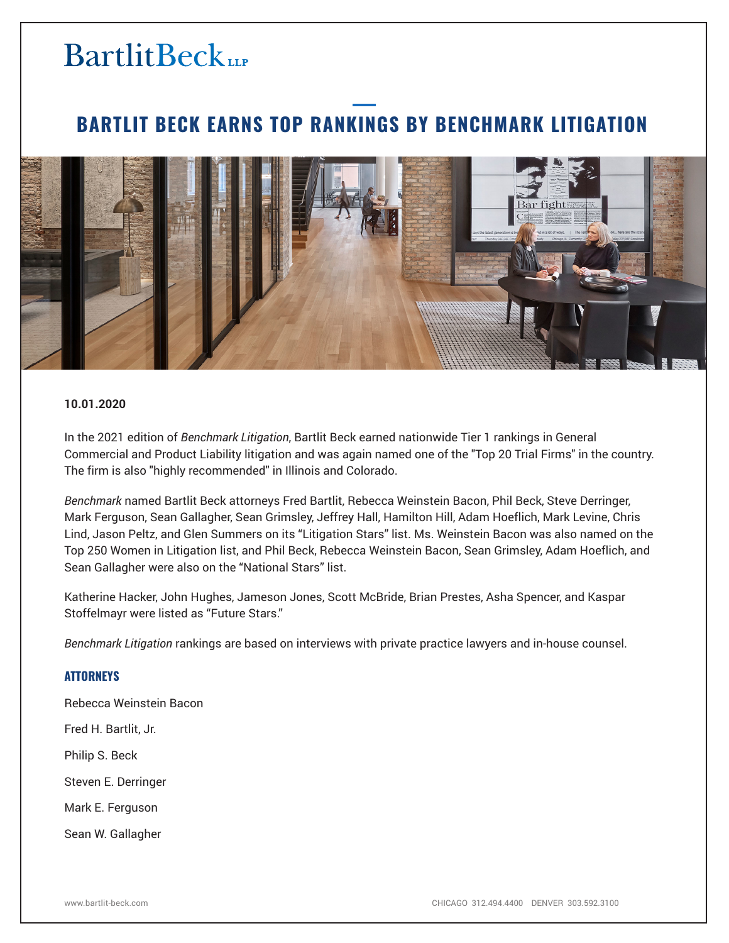# **BartlitBeck**

### **BARTLIT BECK EARNS TOP RANKINGS BY BENCHMARK LITIGATION**



#### **10.01.2020**

In the 2021 edition of *Benchmark Litigation*, Bartlit Beck earned nationwide Tier 1 rankings in General Commercial and Product Liability litigation and was again named one of the "Top 20 Trial Firms" in the country. The firm is also "highly recommended" in Illinois and Colorado.

*Benchmark* named Bartlit Beck attorneys Fred Bartlit, Rebecca Weinstein Bacon, Phil Beck, Steve Derringer, Mark Ferguson, Sean Gallagher, Sean Grimsley, Jeffrey Hall, Hamilton Hill, Adam Hoeflich, Mark Levine, Chris Lind, Jason Peltz, and Glen Summers on its "Litigation Stars" list. Ms. Weinstein Bacon was also named on the Top 250 Women in Litigation list, and Phil Beck, Rebecca Weinstein Bacon, Sean Grimsley, Adam Hoeflich, and Sean Gallagher were also on the "National Stars" list.

Katherine Hacker, John Hughes, Jameson Jones, Scott McBride, Brian Prestes, Asha Spencer, and Kaspar Stoffelmayr were listed as "Future Stars."

*Benchmark Litigation* rankings are based on interviews with private practice lawyers and in-house counsel.

### **ATTORNEYS**

Rebecca Weinstein Bacon

Fred H. Bartlit, Jr.

Philip S. Beck

Steven E. Derringer

Mark E. Ferguson

Sean W. Gallagher